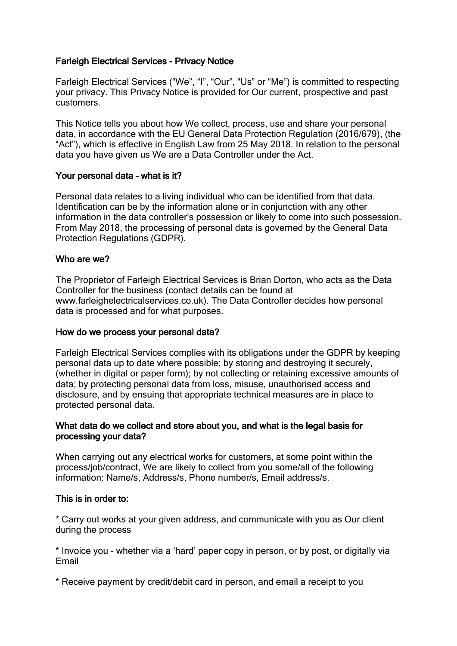# Farleigh Electrical Services - Privacy Notice

Farleigh Electrical Services ("We", "I", "Our", "Us" or "Me") is committed to respecting your privacy. This Privacy Notice is provided for Our current, prospective and past customers.

This Notice tells you about how We collect, process, use and share your personal data, in accordance with the EU General Data Protection Regulation (2016/679), (the "Act"), which is effective in English Law from 25 May 2018. In relation to the personal data you have given us We are a Data Controller under the Act.

## Your personal data – what is it?

Personal data relates to a living individual who can be identified from that data. Identification can be by the information alone or in conjunction with any other information in the data controller's possession or likely to come into such possession. From May 2018, the processing of personal data is governed by the General Data Protection Regulations (GDPR).

## Who are we?

The Proprietor of Farleigh Electrical Services is Brian Dorton, who acts as the Data Controller for the business (contact details can be found at www.farleighelectricalservices.co.uk). The Data Controller decides how personal data is processed and for what purposes.

#### How do we process your personal data?

Farleigh Electrical Services complies with its obligations under the GDPR by keeping personal data up to date where possible; by storing and destroying it securely, (whether in digital or paper form); by not collecting or retaining excessive amounts of data; by protecting personal data from loss, misuse, unauthorised access and disclosure, and by ensuing that appropriate technical measures are in place to protected personal data.

## What data do we collect and store about you, and what is the legal basis for processing your data?

When carrying out any electrical works for customers, at some point within the process/job/contract, We are likely to collect from you some/all of the following information: Name/s, Address/s, Phone number/s, Email address/s.

## This is in order to:

\* Carry out works at your given address, and communicate with you as Our client during the process

\* Invoice you - whether via a 'hard' paper copy in person, or by post, or digitally via Email

\* Receive payment by credit/debit card in person, and email a receipt to you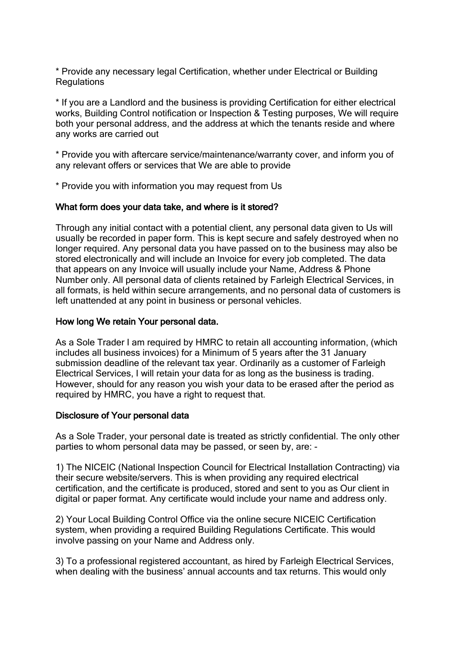\* Provide any necessary legal Certification, whether under Electrical or Building **Regulations** 

\* If you are a Landlord and the business is providing Certification for either electrical works, Building Control notification or Inspection & Testing purposes, We will require both your personal address, and the address at which the tenants reside and where any works are carried out

\* Provide you with aftercare service/maintenance/warranty cover, and inform you of any relevant offers or services that We are able to provide

\* Provide you with information you may request from Us

### What form does your data take, and where is it stored?

Through any initial contact with a potential client, any personal data given to Us will usually be recorded in paper form. This is kept secure and safely destroyed when no longer required. Any personal data you have passed on to the business may also be stored electronically and will include an Invoice for every job completed. The data that appears on any Invoice will usually include your Name, Address & Phone Number only. All personal data of clients retained by Farleigh Electrical Services, in all formats, is held within secure arrangements, and no personal data of customers is left unattended at any point in business or personal vehicles.

### How long We retain Your personal data.

As a Sole Trader I am required by HMRC to retain all accounting information, (which includes all business invoices) for a Minimum of 5 years after the 31 January submission deadline of the relevant tax year. Ordinarily as a customer of Farleigh Electrical Services, I will retain your data for as long as the business is trading. However, should for any reason you wish your data to be erased after the period as required by HMRC, you have a right to request that.

## Disclosure of Your personal data

As a Sole Trader, your personal date is treated as strictly confidential. The only other parties to whom personal data may be passed, or seen by, are: -

1) The NICEIC (National Inspection Council for Electrical Installation Contracting) via their secure website/servers. This is when providing any required electrical certification, and the certificate is produced, stored and sent to you as Our client in digital or paper format. Any certificate would include your name and address only.

2) Your Local Building Control Office via the online secure NICEIC Certification system, when providing a required Building Regulations Certificate. This would involve passing on your Name and Address only.

3) To a professional registered accountant, as hired by Farleigh Electrical Services, when dealing with the business' annual accounts and tax returns. This would only